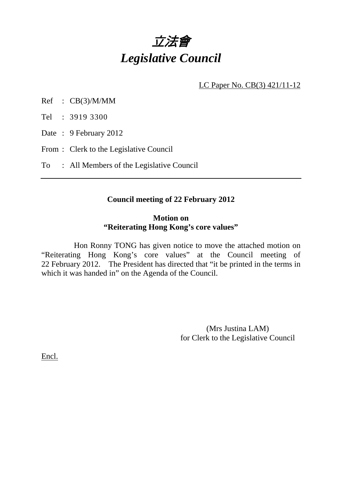

LC Paper No. CB(3) 421/11-12

Ref : CB(3)/M/MM

Tel : 3919 3300

- Date: 9 February 2012
- From : Clerk to the Legislative Council

### To : All Members of the Legislative Council

## **Council meeting of 22 February 2012**

#### **Motion on "Reiterating Hong Kong's core values"**

 Hon Ronny TONG has given notice to move the attached motion on "Reiterating Hong Kong's core values" at the Council meeting of 22 February 2012. The President has directed that "it be printed in the terms in which it was handed in" on the Agenda of the Council.

> (Mrs Justina LAM) for Clerk to the Legislative Council

Encl.